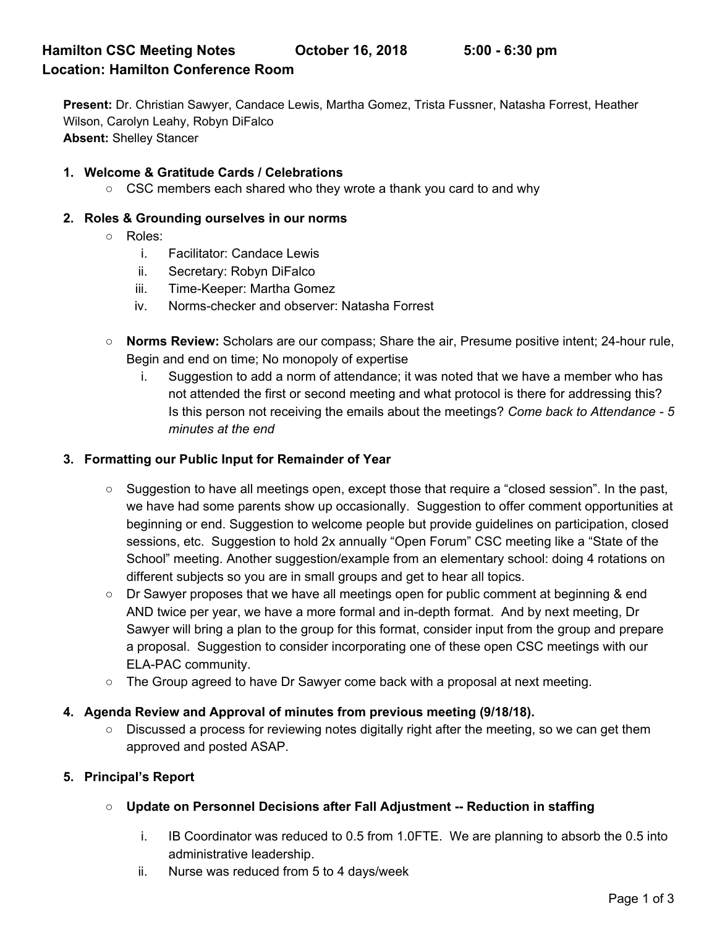**Present:** Dr. Christian Sawyer, Candace Lewis, Martha Gomez, Trista Fussner, Natasha Forrest, Heather Wilson, Carolyn Leahy, Robyn DiFalco **Absent:** Shelley Stancer

### **1. Welcome & Gratitude Cards / Celebrations**

○ CSC members each shared who they wrote a thank you card to and why

#### **2. Roles & Grounding ourselves in our norms**

- Roles:
	- i. Facilitator: Candace Lewis
	- ii. Secretary: Robyn DiFalco
	- iii. Time-Keeper: Martha Gomez
	- iv. Norms-checker and observer: Natasha Forrest
- **Norms Review:** Scholars are our compass; Share the air, Presume positive intent; 24-hour rule, Begin and end on time; No monopoly of expertise
	- i. Suggestion to add a norm of attendance; it was noted that we have a member who has not attended the first or second meeting and what protocol is there for addressing this? Is this person not receiving the emails about the meetings? *Come back to Attendance - 5 minutes at the end*

#### **3. Formatting our Public Input for Remainder of Year**

- Suggestion to have all meetings open, except those that require a "closed session". In the past, we have had some parents show up occasionally. Suggestion to offer comment opportunities at beginning or end. Suggestion to welcome people but provide guidelines on participation, closed sessions, etc. Suggestion to hold 2x annually "Open Forum" CSC meeting like a "State of the School" meeting. Another suggestion/example from an elementary school: doing 4 rotations on different subjects so you are in small groups and get to hear all topics.
- $\circ$  Dr Sawyer proposes that we have all meetings open for public comment at beginning & end AND twice per year, we have a more formal and in-depth format. And by next meeting, Dr Sawyer will bring a plan to the group for this format, consider input from the group and prepare a proposal. Suggestion to consider incorporating one of these open CSC meetings with our ELA-PAC community.
- The Group agreed to have Dr Sawyer come back with a proposal at next meeting.

### **4. Agenda Review and Approval of minutes from previous meeting (9/18/18).**

○ Discussed a process for reviewing notes digitally right after the meeting, so we can get them approved and posted ASAP.

#### **5. Principal's Report**

- **○ Update on Personnel Decisions after Fall Adjustment -- Reduction in staffing**
	- i. IB Coordinator was reduced to 0.5 from 1.0FTE. We are planning to absorb the 0.5 into administrative leadership.
	- ii. Nurse was reduced from 5 to 4 days/week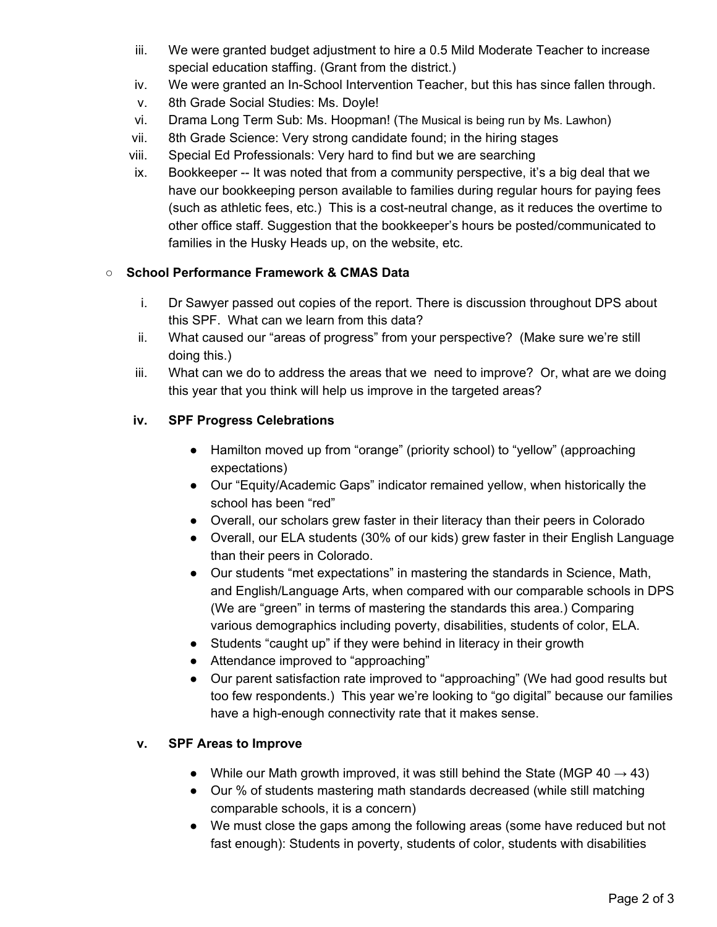- iii. We were granted budget adjustment to hire a 0.5 Mild Moderate Teacher to increase special education staffing. (Grant from the district.)
- iv. We were granted an In-School Intervention Teacher, but this has since fallen through.
- v. 8th Grade Social Studies: Ms. Doyle!
- vi. Drama Long Term Sub: Ms. Hoopman! (The Musical is being run by Ms. Lawhon)
- vii. 8th Grade Science: Very strong candidate found; in the hiring stages
- viii. Special Ed Professionals: Very hard to find but we are searching
- ix. Bookkeeper -- It was noted that from a community perspective, it's a big deal that we have our bookkeeping person available to families during regular hours for paying fees (such as athletic fees, etc.) This is a cost-neutral change, as it reduces the overtime to other office staff. Suggestion that the bookkeeper's hours be posted/communicated to families in the Husky Heads up, on the website, etc.

# **○ School Performance Framework & CMAS Data**

- i. Dr Sawyer passed out copies of the report. There is discussion throughout DPS about this SPF. What can we learn from this data?
- ii. What caused our "areas of progress" from your perspective? (Make sure we're still doing this.)
- iii. What can we do to address the areas that we need to improve? Or, what are we doing this year that you think will help us improve in the targeted areas?

# **iv. SPF Progress Celebrations**

- Hamilton moved up from "orange" (priority school) to "yellow" (approaching expectations)
- Our "Equity/Academic Gaps" indicator remained yellow, when historically the school has been "red"
- Overall, our scholars grew faster in their literacy than their peers in Colorado
- Overall, our ELA students (30% of our kids) grew faster in their English Language than their peers in Colorado.
- Our students "met expectations" in mastering the standards in Science, Math, and English/Language Arts, when compared with our comparable schools in DPS (We are "green" in terms of mastering the standards this area.) Comparing various demographics including poverty, disabilities, students of color, ELA.
- Students "caught up" if they were behind in literacy in their growth
- Attendance improved to "approaching"
- Our parent satisfaction rate improved to "approaching" (We had good results but too few respondents.) This year we're looking to "go digital" because our families have a high-enough connectivity rate that it makes sense.

# **v. SPF Areas to Improve**

- While our Math growth improved, it was still behind the State (MGP  $40 \rightarrow 43$ )
- Our % of students mastering math standards decreased (while still matching comparable schools, it is a concern)
- We must close the gaps among the following areas (some have reduced but not fast enough): Students in poverty, students of color, students with disabilities